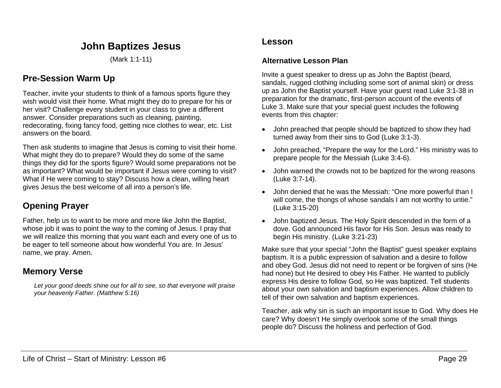# **John Baptizes Jesus**

(Mark 1:1-11)

## **Pre-Session Warm Up**

Teacher, invite your students to think of a famous sports figure they wish would visit their home. What might they do to prepare for his or her visit? Challenge every student in your class to give a different answer. Consider preparations such as cleaning, painting, redecorating, fixing fancy food, getting nice clothes to wear, etc. List answers on the board.

Then ask students to imagine that Jesus is coming to visit their home. What might they do to prepare? Would they do some of the same things they did for the sports figure? Would some preparations not be as important? What would be important if Jesus were coming to visit? What if He were coming to stay? Discuss how a clean, willing heart gives Jesus the best welcome of all into a person's life.

## **Opening Prayer**

Father, help us to want to be more and more like John the Baptist, whose job it was to point the way to the coming of Jesus. I pray that we will realize this morning that you want each and every one of us to be eager to tell someone about how wonderful You are. In Jesus' name, we pray. Amen.

## **Memory Verse**

*Let your good deeds shine out for all to see, so that everyone will praise your heavenly Father. (Matthew 5:16)*

### **Lesson**

#### **Alternative Lesson Plan**

Invite a guest speaker to dress up as John the Baptist (beard, sandals, rugged clothing including some sort of animal skin) or dress up as John the Baptist yourself. Have your guest read Luke 3:1-38 in preparation for the dramatic, first-person account of the events of Luke 3. Make sure that your special guest includes the following events from this chapter:

- John preached that people should be baptized to show they had turned away from their sins to God (Luke 3:1-3).
- John preached, "Prepare the way for the Lord." His ministry was to prepare people for the Messiah (Luke 3:4-6).
- John warned the crowds not to be baptized for the wrong reasons (Luke 3:7-14).
- John denied that he was the Messiah: "One more powerful than I will come, the thongs of whose sandals I am not worthy to untie." (Luke 3:15-20)
- John baptized Jesus. The Holy Spirit descended in the form of a dove. God announced His favor for His Son. Jesus was ready to begin His ministry. (Luke 3:21-23)

Make sure that your special "John the Baptist" guest speaker explains baptism. It is a public expression of salvation and a desire to follow and obey God. Jesus did not need to repent or be forgiven of sins (He had none) but He desired to obey His Father. He wanted to publicly express His desire to follow God, so He was baptized. Tell students about your own salvation and baptism experiences. Allow children to tell of their own salvation and baptism experiences.

Teacher, ask why sin is such an important issue to God. Why does He care? Why doesn't He simply overlook some of the small things people do? Discuss the holiness and perfection of God.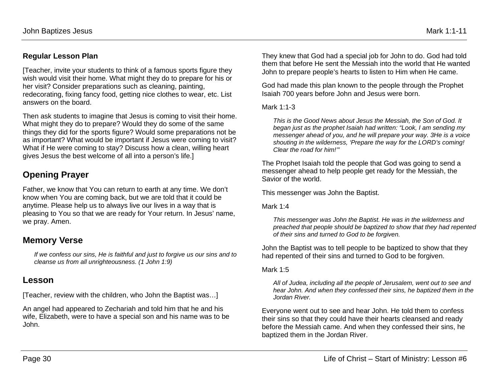### **Regular Lesson Plan**

[Teacher, invite your students to think of a famous sports figure they wish would visit their home. What might they do to prepare for his or her visit? Consider preparations such as cleaning, painting, redecorating, fixing fancy food, getting nice clothes to wear, etc. List answers on the board.

Then ask students to imagine that Jesus is coming to visit their home. What might they do to prepare? Would they do some of the same things they did for the sports figure? Would some preparations not be as important? What would be important if Jesus were coming to visit? What if He were coming to stay? Discuss how a clean, willing heart gives Jesus the best welcome of all into a person's life.]

# **Opening Prayer**

Father, we know that You can return to earth at any time. We don't know when You are coming back, but we are told that it could be anytime. Please help us to always live our lives in a way that is pleasing to You so that we are ready for Your return. In Jesus' name, we pray. Amen.

## **Memory Verse**

*If we confess our sins, He is faithful and just to forgive us our sins and to cleanse us from all unrighteousness. (1 John 1:9)*

## **Lesson**

[Teacher, review with the children, who John the Baptist was…]

An angel had appeared to Zechariah and told him that he and his wife, Elizabeth, were to have a special son and his name was to be John.

They knew that God had a special job for John to do. God had told them that before He sent the Messiah into the world that He wanted John to prepare people's hearts to listen to Him when He came.

God had made this plan known to the people through the Prophet Isaiah 700 years before John and Jesus were born.

Mark 1:1-3

*This is the Good News about Jesus the Messiah, the Son of God. It began just as the prophet Isaiah had written: "Look, I am sending my messenger ahead of you, and he will prepare your way. 3He is a voice shouting in the wilderness, 'Prepare the way for the LORD's coming! Clear the road for him!'"*

The Prophet Isaiah told the people that God was going to send a messenger ahead to help people get ready for the Messiah, the Savior of the world.

This messenger was John the Baptist.

Mark 1:4

*This messenger was John the Baptist. He was in the wilderness and preached that people should be baptized to show that they had repented of their sins and turned to God to be forgiven.*

John the Baptist was to tell people to be baptized to show that they had repented of their sins and turned to God to be forgiven.

Mark 1:5

*All of Judea, including all the people of Jerusalem, went out to see and hear John. And when they confessed their sins, he baptized them in the Jordan River.*

Everyone went out to see and hear John. He told them to confess their sins so that they could have their hearts cleansed and ready before the Messiah came. And when they confessed their sins, he baptized them in the Jordan River.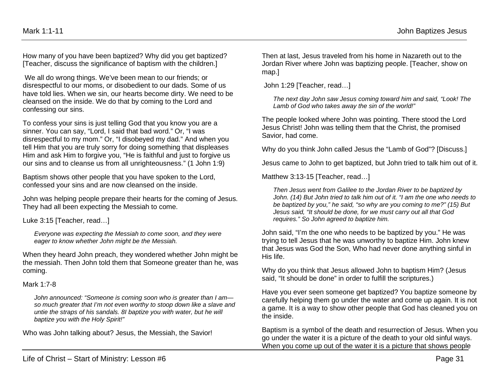How many of you have been baptized? Why did you get baptized? [Teacher, discuss the significance of baptism with the children.]

We all do wrong things. We've been mean to our friends; or disrespectful to our moms, or disobedient to our dads. Some of us have told lies. When we sin, our hearts become dirty. We need to be cleansed on the inside. We do that by coming to the Lord and confessing our sins.

To confess your sins is just telling God that you know you are a sinner. You can say, "Lord, I said that bad word." Or, "I was disrespectful to my mom." Or, "I disobeyed my dad." And when you tell Him that you are truly sorry for doing something that displeases Him and ask Him to forgive you, "He is faithful and just to forgive us our sins and to cleanse us from all unrighteousness." (1 John 1:9)

Baptism shows other people that you have spoken to the Lord, confessed your sins and are now cleansed on the inside.

John was helping people prepare their hearts for the coming of Jesus. They had all been expecting the Messiah to come.

Luke 3:15 [Teacher, read…]

*Everyone was expecting the Messiah to come soon, and they were eager to know whether John might be the Messiah.* 

When they heard John preach, they wondered whether John might be the messiah. Then John told them that Someone greater than he, was coming.

#### Mark 1:7-8

*John announced: "Someone is coming soon who is greater than I am so much greater that I'm not even worthy to stoop down like a slave and untie the straps of his sandals. 8I baptize you with water, but he will baptize you with the Holy Spirit!"*

Who was John talking about? Jesus, the Messiah, the Savior!

Then at last, Jesus traveled from his home in Nazareth out to the Jordan River where John was baptizing people. [Teacher, show on map.]

John 1:29 [Teacher, read…]

*The next day John saw Jesus coming toward him and said, "Look! The Lamb of God who takes away the sin of the world!"*

The people looked where John was pointing. There stood the Lord Jesus Christ! John was telling them that the Christ, the promised Savior, had come.

Why do you think John called Jesus the "Lamb of God"? [Discuss.]

Jesus came to John to get baptized, but John tried to talk him out of it.

Matthew 3:13-15 [Teacher, read...]

*Then Jesus went from Galilee to the Jordan River to be baptized by John. (14) But John tried to talk him out of it. "I am the one who needs to be baptized by you," he said, "so why are you coming to me?" (15) But Jesus said, "It should be done, for we must carry out all that God requires." So John agreed to baptize him.*

John said, "I'm the one who needs to be baptized by you." He was trying to tell Jesus that he was unworthy to baptize Him. John knew that Jesus was God the Son, Who had never done anything sinful in His life.

Why do you think that Jesus allowed John to baptism Him? (Jesus said, "It should be done" in order to fulfill the scriptures.)

Have you ever seen someone get baptized? You baptize someone by carefully helping them go under the water and come up again. It is not a game. It is a way to show other people that God has cleaned you on the inside.

Baptism is a symbol of the death and resurrection of Jesus. When you go under the water it is a picture of the death to your old sinful ways. When you come up out of the water it is a picture that shows people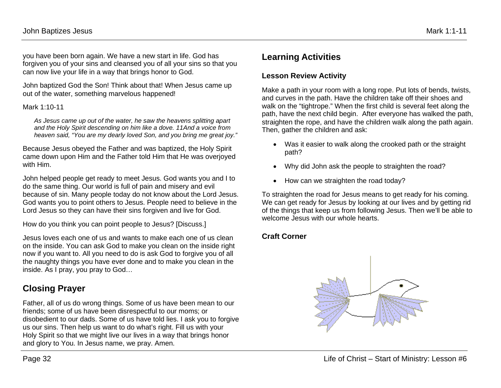you have been born again. We have a new start in life. God has forgiven you of your sins and cleansed you of all your sins so that you can now live your life in a way that brings honor to God.

John baptized God the Son! Think about that! When Jesus came up out of the water, something marvelous happened!

#### Mark 1:10-11

*As Jesus came up out of the water, he saw the heavens splitting apart and the Holy Spirit descending on him like a dove. 11And a voice from heaven said, "You are my dearly loved Son, and you bring me great joy."*

Because Jesus obeyed the Father and was baptized, the Holy Spirit came down upon Him and the Father told Him that He was overjoyed with Him.

John helped people get ready to meet Jesus. God wants you and I to do the same thing. Our world is full of pain and misery and evil because of sin. Many people today do not know about the Lord Jesus. God wants you to point others to Jesus. People need to believe in the Lord Jesus so they can have their sins forgiven and live for God.

How do you think you can point people to Jesus? [Discuss.]

Jesus loves each one of us and wants to make each one of us clean on the inside. You can ask God to make you clean on the inside right now if you want to. All you need to do is ask God to forgive you of all the naughty things you have ever done and to make you clean in the inside. As I pray, you pray to God…

## **Closing Prayer**

Father, all of us do wrong things. Some of us have been mean to our friends; some of us have been disrespectful to our moms; or disobedient to our dads. Some of us have told lies. I ask you to forgive us our sins. Then help us want to do what's right. Fill us with your Holy Spirit so that we might live our lives in a way that brings honor and glory to You. In Jesus name, we pray. Amen.

# **Learning Activities**

### **Lesson Review Activity**

Make a path in your room with a long rope. Put lots of bends, twists, and curves in the path. Have the children take off their shoes and walk on the "tightrope." When the first child is several feet along the path, have the next child begin. After everyone has walked the path, straighten the rope, and have the children walk along the path again. Then, gather the children and ask:

- Was it easier to walk along the crooked path or the straight path?
- Why did John ask the people to straighten the road?
- How can we straighten the road today?

To straighten the road for Jesus means to get ready for his coming. We can get ready for Jesus by looking at our lives and by getting rid of the things that keep us from following Jesus. Then we'll be able to welcome Jesus with our whole hearts.

### **Craft Corner**

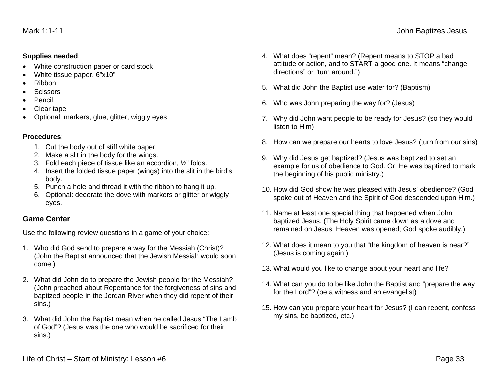#### **Supplies needed**:

- White construction paper or card stock
- White tissue paper, 6"x10"
- Ribbon
- Scissors
- Pencil
- Clear tape
- Optional: markers, glue, glitter, wiggly eyes

### **Procedures**;

- 1. Cut the body out of stiff white paper.
- 2. Make a slit in the body for the wings.
- 3. Fold each piece of tissue like an accordion, ½" folds.
- 4. Insert the folded tissue paper (wings) into the slit in the bird's body.
- 5. Punch a hole and thread it with the ribbon to hang it up.
- 6. Optional: decorate the dove with markers or glitter or wiggly eyes.

### **Game Center**

Use the following review questions in a game of your choice:

- 1. Who did God send to prepare a way for the Messiah (Christ)? (John the Baptist announced that the Jewish Messiah would soon come.)
- 2. What did John do to prepare the Jewish people for the Messiah? (John preached about Repentance for the forgiveness of sins and baptized people in the Jordan River when they did repent of their sins.)
- 3. What did John the Baptist mean when he called Jesus "The Lamb of God"? (Jesus was the one who would be sacrificed for their sins.)
- 4. What does "repent" mean? (Repent means to STOP a bad attitude or action, and to START a good one. It means "change directions" or "turn around.")
- 5. What did John the Baptist use water for? (Baptism)
- 6. Who was John preparing the way for? (Jesus)
- 7. Why did John want people to be ready for Jesus? (so they would listen to Him)
- 8. How can we prepare our hearts to love Jesus? (turn from our sins)
- 9. Why did Jesus get baptized? (Jesus was baptized to set an example for us of obedience to God. Or, He was baptized to mark the beginning of his public ministry.)
- 10. How did God show he was pleased with Jesus' obedience? (God spoke out of Heaven and the Spirit of God descended upon Him.)
- 11. Name at least one special thing that happened when John baptized Jesus. (The Holy Spirit came down as a dove and remained on Jesus. Heaven was opened; God spoke audibly.)
- 12. What does it mean to you that "the kingdom of heaven is near?" (Jesus is coming again!)
- 13. What would you like to change about your heart and life?
- 14. What can you do to be like John the Baptist and "prepare the way for the Lord"? (be a witness and an evangelist)
- 15. How can you prepare your heart for Jesus? (I can repent, confess my sins, be baptized, etc.)